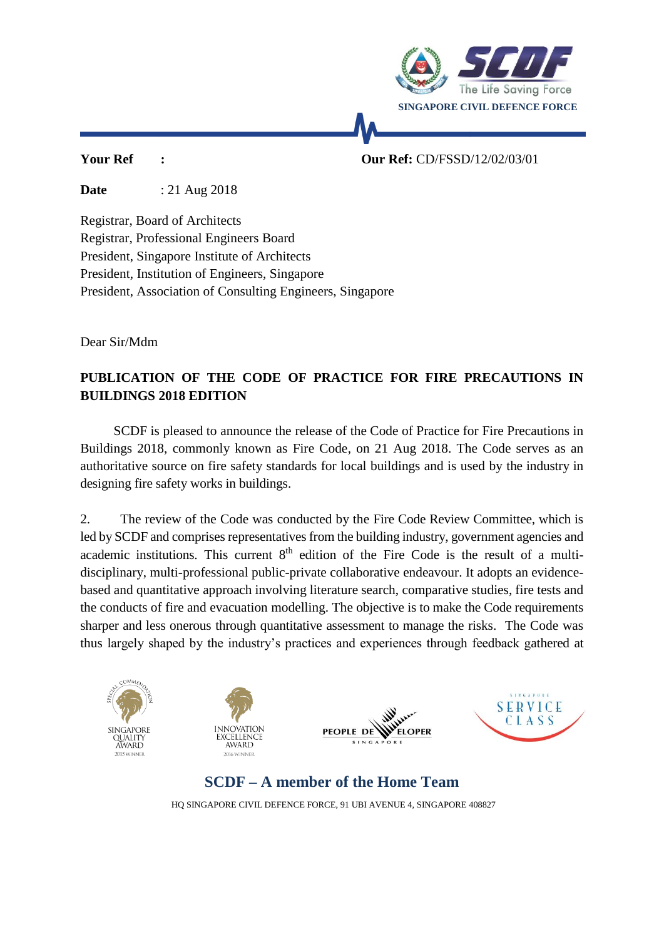

**Your Ref : Our Ref:** CD/FSSD/12/02/03/01

**Date** : 21 Aug 2018

Registrar, Board of Architects Registrar, Professional Engineers Board President, Singapore Institute of Architects President, Institution of Engineers, Singapore President, Association of Consulting Engineers, Singapore

Dear Sir/Mdm

## **PUBLICATION OF THE CODE OF PRACTICE FOR FIRE PRECAUTIONS IN BUILDINGS 2018 EDITION**

 SCDF is pleased to announce the release of the Code of Practice for Fire Precautions in Buildings 2018, commonly known as Fire Code, on 21 Aug 2018. The Code serves as an authoritative source on fire safety standards for local buildings and is used by the industry in designing fire safety works in buildings.

2. The review of the Code was conducted by the Fire Code Review Committee, which is led by SCDF and comprises representatives from the building industry, government agencies and academic institutions. This current  $8<sup>th</sup>$  edition of the Fire Code is the result of a multidisciplinary, multi-professional public-private collaborative endeavour. It adopts an evidencebased and quantitative approach involving literature search, comparative studies, fire tests and the conducts of fire and evacuation modelling. The objective is to make the Code requirements sharper and less onerous through quantitative assessment to manage the risks. The Code was thus largely shaped by the industry's practices and experiences through feedback gathered at



HQ SINGAPORE CIVIL DEFENCE FORCE, 91 UBI AVENUE 4, SINGAPORE 408827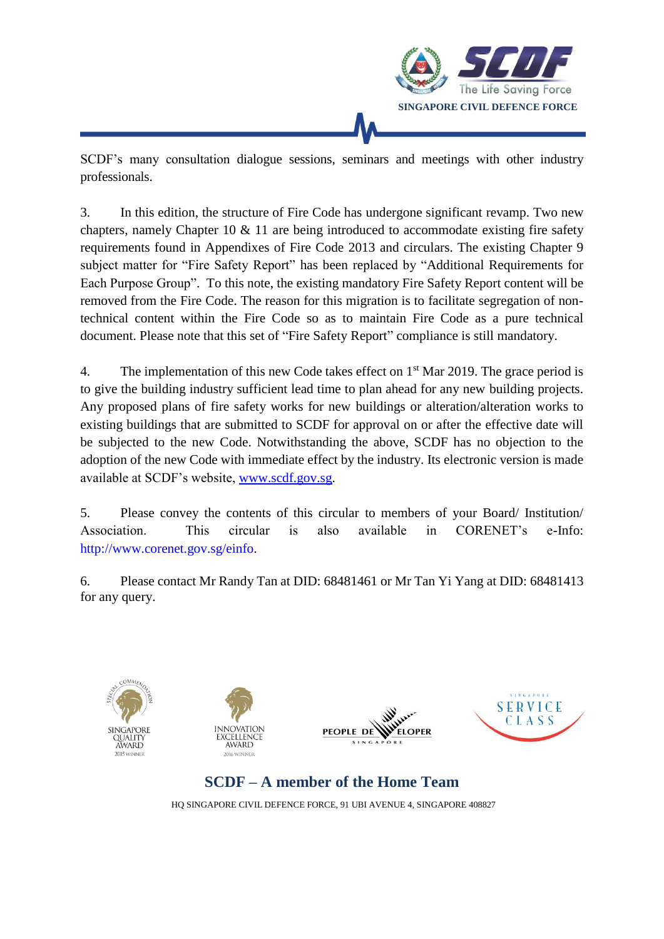

SCDF's many consultation dialogue sessions, seminars and meetings with other industry professionals.

3. In this edition, the structure of Fire Code has undergone significant revamp. Two new chapters, namely Chapter 10  $\&$  11 are being introduced to accommodate existing fire safety requirements found in Appendixes of Fire Code 2013 and circulars. The existing Chapter 9 subject matter for "Fire Safety Report" has been replaced by "Additional Requirements for Each Purpose Group". To this note, the existing mandatory Fire Safety Report content will be removed from the Fire Code. The reason for this migration is to facilitate segregation of nontechnical content within the Fire Code so as to maintain Fire Code as a pure technical document. Please note that this set of "Fire Safety Report" compliance is still mandatory.

4. The implementation of this new Code takes effect on 1<sup>st</sup> Mar 2019. The grace period is to give the building industry sufficient lead time to plan ahead for any new building projects. Any proposed plans of fire safety works for new buildings or alteration/alteration works to existing buildings that are submitted to SCDF for approval on or after the effective date will be subjected to the new Code. Notwithstanding the above, SCDF has no objection to the adoption of the new Code with immediate effect by the industry. Its electronic version is made available at SCDF's website, [www.scdf.gov.sg.](http://www.scdf.gov.sg/)

5. Please convey the contents of this circular to members of your Board/ Institution/ Association. This circular is also available in CORENET's e-Info: [http://www.corenet.gov.sg/einfo.](http://www.corenet.gov.sg/einfo%20and%20Reach.gov.sg)

6. Please contact Mr Randy Tan at DID: 68481461 or Mr Tan Yi Yang at DID: 68481413 for any query.









**SCDF – A member of the Home Team**

HQ SINGAPORE CIVIL DEFENCE FORCE, 91 UBI AVENUE 4, SINGAPORE 408827